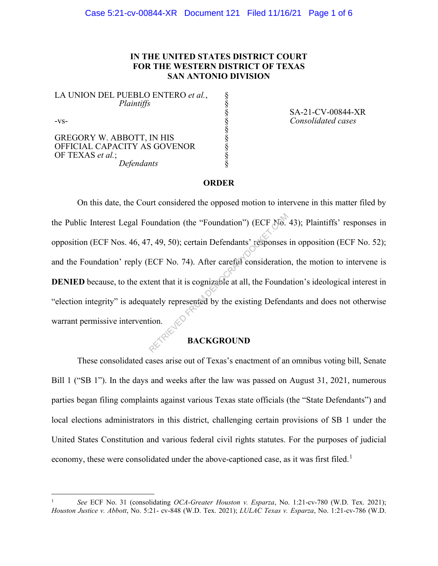### **IN THE UNITED STATES DISTRICT COURT FOR THE WESTERN DISTRICT OF TEXAS SAN ANTONIO DIVISION**

§ § § § § § § § §

LA UNION DEL PUEBLO ENTERO *et al.*,  *Plaintiffs* 

-vs-

GREGORY W. ABBOTT, IN HIS OFFICIAL CAPACITY AS GOVENOR OF TEXAS *et al.*;  *Defendants* 

SA-21-CV-00844-XR *Consolidated cases* 

#### **ORDER**

On this date, the Court considered the opposed motion to intervene in this matter filed by the Public Interest Legal Foundation (the "Foundation") (ECF No. 43); Plaintiffs' responses in opposition (ECF Nos. 46, 47, 49, 50); certain Defendants' responses in opposition (ECF No. 52); and the Foundation' reply (ECF No. 74). After careful consideration, the motion to intervene is **DENIED** because, to the extent that it is cognizable at all, the Foundation's ideological interest in "election integrity" is adequately represented by the existing Defendants and does not otherwise warrant permissive intervention. bundation (the "Foundation") (ECF No.<br>
7, 49, 50); certain Defendants' responses<br>
ECF No. 74). After careful consideration<br>
tent that it is cognizable at all, the Foundately represented by the existing Defend<br>
tion.<br> **BACK** 

#### **BACKGROUND**

These consolidated cases arise out of Texas's enactment of an omnibus voting bill, Senate Bill 1 ("SB 1"). In the days and weeks after the law was passed on August 31, 2021, numerous parties began filing complaints against various Texas state officials (the "State Defendants") and local elections administrators in this district, challenging certain provisions of SB 1 under the United States Constitution and various federal civil rights statutes. For the purposes of judicial economy, these were consolidated under the above-captioned case, as it was first filed.<sup>1</sup>

<sup>1</sup> *See* ECF No. 31 (consolidating *OCA-Greater Houston v. Esparza*, No. 1:21-cv-780 (W.D. Tex. 2021); *Houston Justice v. Abbott*, No. 5:21- cv-848 (W.D. Tex. 2021); *LULAC Texas v. Esparza*, No. 1:21-cv-786 (W.D.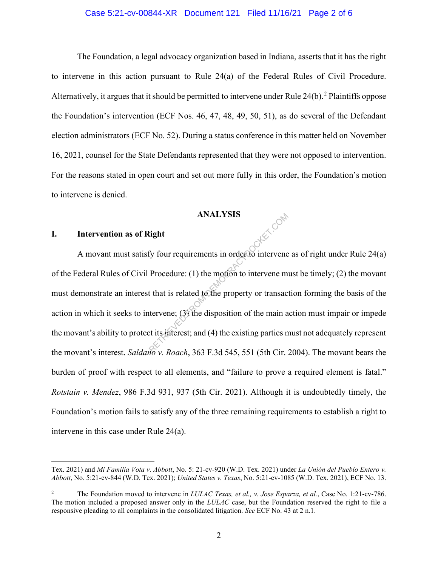#### Case 5:21-cv-00844-XR Document 121 Filed 11/16/21 Page 2 of 6

The Foundation, a legal advocacy organization based in Indiana, asserts that it has the right to intervene in this action pursuant to Rule 24(a) of the Federal Rules of Civil Procedure. Alternatively, it argues that it should be permitted to intervene under Rule  $24(b)$ .<sup>2</sup> Plaintiffs oppose the Foundation's intervention (ECF Nos. 46, 47, 48, 49, 50, 51), as do several of the Defendant election administrators (ECF No. 52). During a status conference in this matter held on November 16, 2021, counsel for the State Defendants represented that they were not opposed to intervention. For the reasons stated in open court and set out more fully in this order, the Foundation's motion to intervene is denied.

#### **ANALYSIS**

#### **I. Intervention as of Right**

A movant must satisfy four requirements in order to intervene as of right under Rule  $24(a)$ of the Federal Rules of Civil Procedure: (1) the motion to intervene must be timely; (2) the movant must demonstrate an interest that is related to the property or transaction forming the basis of the action in which it seeks to intervene; (3) the disposition of the main action must impair or impede the movant's ability to protect its interest; and (4) the existing parties must not adequately represent the movant's interest. *Saldano v. Roach*, 363 F.3d 545, 551 (5th Cir. 2004). The movant bears the burden of proof with respect to all elements, and "failure to prove a required element is fatal." *Rotstain v. Mendez*, 986 F.3d 931, 937 (5th Cir. 2021). Although it is undoubtedly timely, the Foundation's motion fails to satisfy any of the three remaining requirements to establish a right to intervene in this case under Rule 24(a). ANALYSIS<br>
light<br>
fy four requirements in order to intervene<br>
Procedure: (1) the motion to intervene m<br>
t that is related to the property or transac<br>
tervene; (3) the disposition of the main a<br>
st its interest; and (4) the

Tex. 2021) and *Mi Familia Vota v. Abbott*, No. 5: 21-cv-920 (W.D. Tex. 2021) under *La Unión del Pueblo Entero v. Abbott*, No. 5:21-cv-844 (W.D. Tex. 2021); *United States v. Texas*, No. 5:21-cv-1085 (W.D. Tex. 2021), ECF No. 13.

<sup>2</sup> The Foundation moved to intervene in *LULAC Texas, et al., v. Jose Esparza, et al.*, Case No. 1:21-cv-786. The motion included a proposed answer only in the *LULAC* case, but the Foundation reserved the right to file a responsive pleading to all complaints in the consolidated litigation. *See* ECF No. 43 at 2 n.1.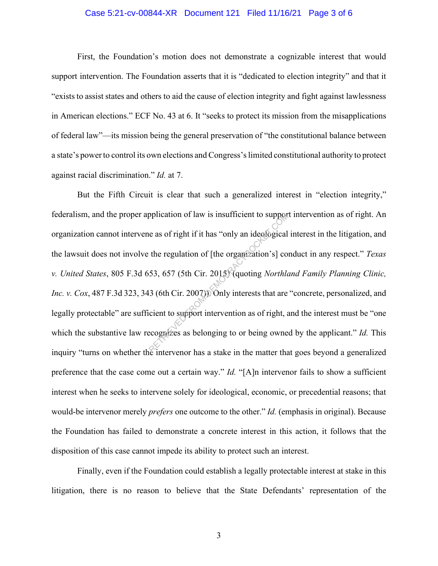#### Case 5:21-cv-00844-XR Document 121 Filed 11/16/21 Page 3 of 6

First, the Foundation's motion does not demonstrate a cognizable interest that would support intervention. The Foundation asserts that it is "dedicated to election integrity" and that it "exists to assist states and others to aid the cause of election integrity and fight against lawlessness in American elections." ECF No. 43 at 6. It "seeks to protect its mission from the misapplications of federal law"—its mission being the general preservation of "the constitutional balance between a state's power to control its own elections and Congress'slimited constitutional authority to protect against racial discrimination." *Id.* at 7.

But the Fifth Circuit is clear that such a generalized interest in "election integrity," federalism, and the proper application of law is insufficient to support intervention as of right. An organization cannot intervene as of right if it has "only an ideological interest in the litigation, and the lawsuit does not involve the regulation of [the organization's] conduct in any respect." *Texas v. United States*, 805 F.3d 653, 657 (5th Cir. 2015) (quoting *Northland Family Planning Clinic, Inc. v. Cox*, 487 F.3d 323, 343 (6th Cir. 2007)). Only interests that are "concrete, personalized, and legally protectable" are sufficient to support intervention as of right, and the interest must be "one which the substantive law recognizes as belonging to or being owned by the applicant." *Id.* This inquiry "turns on whether the intervenor has a stake in the matter that goes beyond a generalized preference that the case come out a certain way." *Id.* "[A]n intervenor fails to show a sufficient interest when he seeks to intervene solely for ideological, economic, or precedential reasons; that would-be intervenor merely *prefers* one outcome to the other." *Id.* (emphasis in original). Because the Foundation has failed to demonstrate a concrete interest in this action, it follows that the disposition of this case cannot impede its ability to protect such an interest. pplication of law is insufficient to support<br>
e as of right if it has "only an ideological<br>
the regulation of [the organization's] co<br>
53, 657 (5th Cir. 2015) (quoting *Northla*<br>
3 (6th Cir. 2007)) Only interests that are<br>

Finally, even if the Foundation could establish a legally protectable interest at stake in this litigation, there is no reason to believe that the State Defendants' representation of the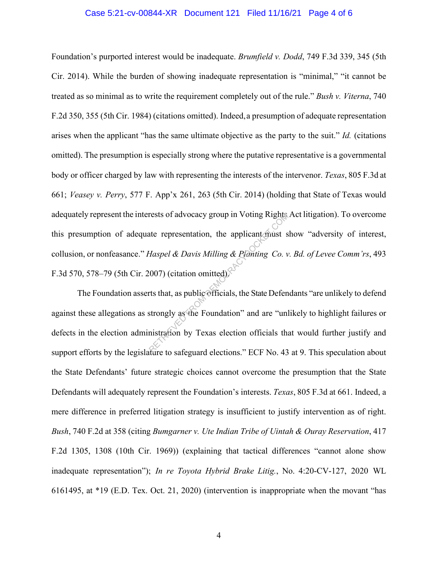#### Case 5:21-cv-00844-XR Document 121 Filed 11/16/21 Page 4 of 6

Foundation's purported interest would be inadequate. *Brumfield v. Dodd*, 749 F.3d 339, 345 (5th Cir. 2014). While the burden of showing inadequate representation is "minimal," "it cannot be treated as so minimal as to write the requirement completely out of the rule." *Bush v. Viterna*, 740 F.2d 350, 355 (5th Cir. 1984) (citations omitted). Indeed,a presumption of adequate representation arises when the applicant "has the same ultimate objective as the party to the suit." *Id.* (citations omitted). The presumption is especially strong where the putative representative is a governmental body or officer charged by law with representing the interests of the intervenor. *Texas*, 805 F.3d at 661; *Veasey v. Perry*, 577 F. App'x 261, 263 (5th Cir. 2014) (holding that State of Texas would adequately represent the interests of advocacy group in Voting Rights Act litigation). To overcome this presumption of adequate representation, the applicant must show "adversity of interest, collusion, or nonfeasance." *Haspel & Davis Milling & Planting Co. v. Bd. of Levee Comm'rs*, 493 F.3d 570, 578–79 (5th Cir. 2007) (citation omitted). rests of advocacy group in Voting Rights<br>ate representation, the applicant must s<br>Haspel & Davis Milling & Planting Co. v<br>(007) (citation omitted)<br>rts that, as public officials, the State Defen<br>strongly as the Foundation'

The Foundation asserts that, as public officials, the State Defendants "are unlikely to defend against these allegations as strongly as the Foundation" and are "unlikely to highlight failures or defects in the election administration by Texas election officials that would further justify and support efforts by the legislature to safeguard elections." ECF No. 43 at 9. This speculation about the State Defendants' future strategic choices cannot overcome the presumption that the State Defendants will adequately represent the Foundation's interests. *Texas*, 805 F.3d at 661. Indeed, a mere difference in preferred litigation strategy is insufficient to justify intervention as of right. *Bush*, 740 F.2d at 358 (citing *Bumgarner v. Ute Indian Tribe of Uintah & Ouray Reservation*, 417 F.2d 1305, 1308 (10th Cir. 1969)) (explaining that tactical differences "cannot alone show inadequate representation"); *In re Toyota Hybrid Brake Litig.*, No. 4:20-CV-127, 2020 WL 6161495, at \*19 (E.D. Tex. Oct. 21, 2020) (intervention is inappropriate when the movant "has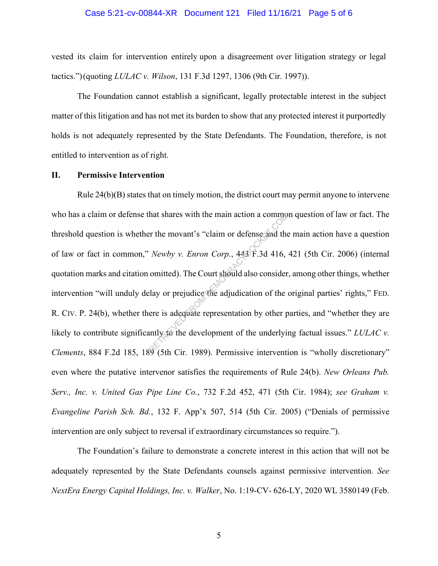#### Case 5:21-cv-00844-XR Document 121 Filed 11/16/21 Page 5 of 6

vested its claim for intervention entirely upon a disagreement over litigation strategy or legal tactics.") (quoting *LULAC v. Wilson*, 131 F.3d 1297, 1306 (9th Cir. 1997)).

The Foundation cannot establish a significant, legally protectable interest in the subject matter of this litigation and has not met its burden to show that any protected interest it purportedly holds is not adequately represented by the State Defendants. The Foundation, therefore, is not entitled to intervention as of right.

#### **II. Permissive Intervention**

Rule  $24(b)(B)$  states that on timely motion, the district court may permit anyone to intervene who has a claim or defense that shares with the main action a common question of law or fact. The threshold question is whether the movant's "claim or defense and the main action have a question of law or fact in common," *Newby v. Enron Corp.*, 443 F.3d 416, 421 (5th Cir. 2006) (internal quotation marks and citation omitted). The Court should also consider, among other things, whether intervention "will unduly delay or prejudice the adjudication of the original parties' rights," FED. R. CIV. P. 24(b), whether there is adequate representation by other parties, and "whether they are likely to contribute significantly to the development of the underlying factual issues." *LULAC v. Clements*, 884 F.2d 185, 189 (5th Cir. 1989). Permissive intervention is "wholly discretionary" even where the putative intervenor satisfies the requirements of Rule 24(b). *New Orleans Pub. Serv., Inc. v. United Gas Pipe Line Co.*, 732 F.2d 452, 471 (5th Cir. 1984); *see Graham v. Evangeline Parish Sch. Bd.*, 132 F. App'x 507, 514 (5th Cir. 2005) ("Denials of permissive intervention are only subject to reversal if extraordinary circumstances so require."). hat shares with the main action a commonly<br>er the movant's "claim or defense and the<br>Newby v. Enron Corp., 443 F.3d 416,<br>omitted). The Court should also consider<br>lay or prejudice the adjudication of the ere is adequate rep

The Foundation's failure to demonstrate a concrete interest in this action that will not be adequately represented by the State Defendants counsels against permissive intervention. *See NextEra Energy Capital Holdings, Inc. v. Walker*, No. 1:19-CV- 626-LY, 2020 WL 3580149 (Feb.